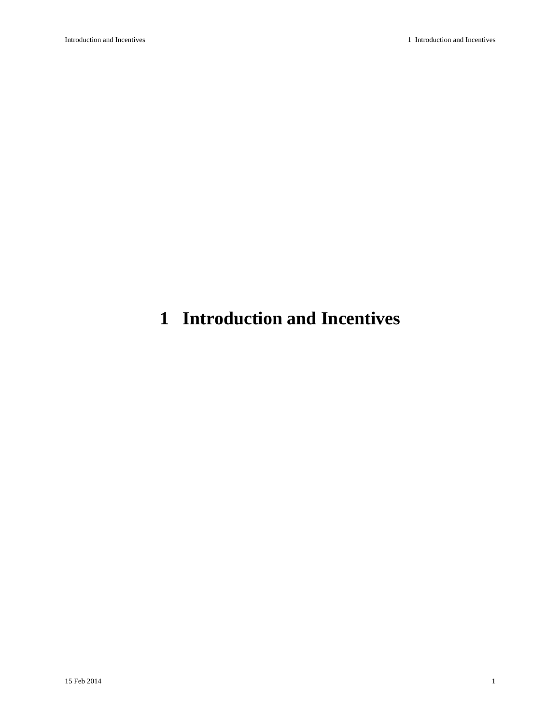# <span id="page-0-0"></span>**1 Introduction and Incentives**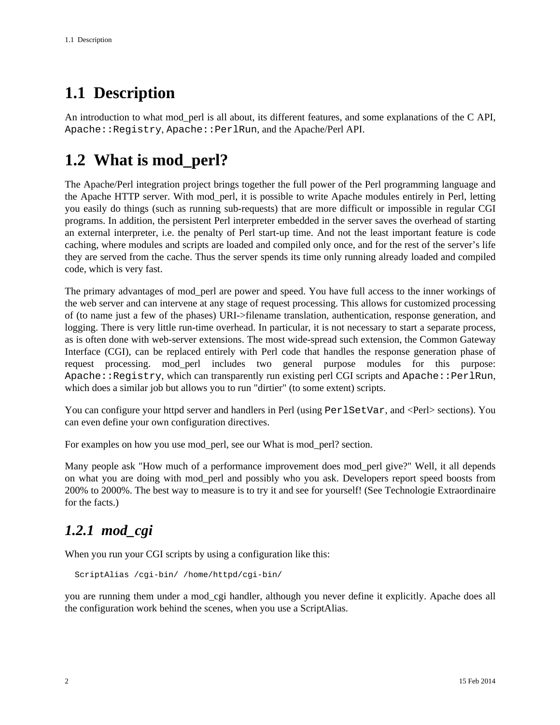## <span id="page-1-0"></span>**1.1 Description**

An introduction to what mod\_perl is all about, its different features, and some explanations of the C API, Apache::Registry, Apache::PerlRun, and the Apache/Perl API.

### <span id="page-1-1"></span>**1.2 What is mod\_perl?**

The Apache/Perl integration project brings together the full power of the Perl programming language and the Apache HTTP server. With mod\_perl, it is possible to write Apache modules entirely in Perl, letting you easily do things (such as running sub-requests) that are more difficult or impossible in regular CGI programs. In addition, the persistent Perl interpreter embedded in the server saves the overhead of starting an external interpreter, i.e. the penalty of Perl start-up time. And not the least important feature is code caching, where modules and scripts are loaded and compiled only once, and for the rest of the server's life they are served from the cache. Thus the server spends its time only running already loaded and compiled code, which is very fast.

The primary advantages of mod\_perl are power and speed. You have full access to the inner workings of the web server and can intervene at any stage of request processing. This allows for customized processing of (to name just a few of the phases) URI->filename translation, authentication, response generation, and logging. There is very little run-time overhead. In particular, it is not necessary to start a separate process, as is often done with web-server extensions. The most wide-spread such extension, the Common Gateway Interface (CGI), can be replaced entirely with Perl code that handles the response generation phase of request processing. mod\_perl includes two general purpose modules for this purpose: Apache::Registry, which can transparently run existing perl CGI scripts and Apache::PerlRun, which does a similar job but allows you to run "dirtier" (to some extent) scripts.

You can configure your httpd server and handlers in Perl (using Perl SetVar, and <Perl> sections). You can even define your own configuration directives.

For examples on how you use mod\_perl, see our What is mod\_perl? section.

Many people ask "How much of a performance improvement does mod\_perl give?" Well, it all depends on what you are doing with mod\_perl and possibly who you ask. Developers report speed boosts from 200% to 2000%. The best way to measure is to try it and see for yourself! (See Technologie Extraordinaire for the facts.)

#### <span id="page-1-2"></span>*1.2.1 mod\_cgi*

When you run your CGI scripts by using a configuration like this:

ScriptAlias /cgi-bin/ /home/httpd/cgi-bin/

you are running them under a mod\_cgi handler, although you never define it explicitly. Apache does all the configuration work behind the scenes, when you use a ScriptAlias.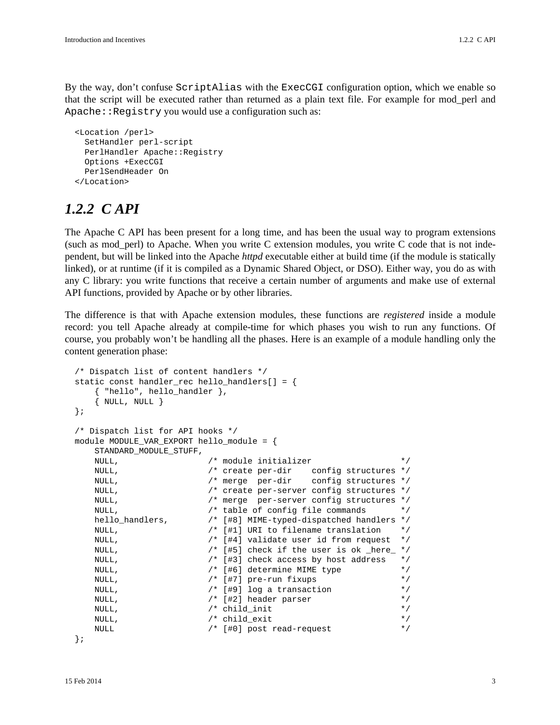By the way, don't confuse ScriptAlias with the ExecCGI configuration option, which we enable so that the script will be executed rather than returned as a plain text file. For example for mod\_perl and Apache::Registry you would use a configuration such as:

```
 <Location /perl>
  SetHandler perl-script
 PerlHandler Apache:: Registry
  Options +ExecCGI
  PerlSendHeader On
 </Location>
```
#### <span id="page-2-0"></span>*1.2.2 C API*

The Apache C API has been present for a long time, and has been the usual way to program extensions (such as mod\_perl) to Apache. When you write C extension modules, you write C code that is not independent, but will be linked into the Apache *httpd* executable either at build time (if the module is statically linked), or at runtime (if it is compiled as a Dynamic Shared Object, or DSO). Either way, you do as with any C library: you write functions that receive a certain number of arguments and make use of external API functions, provided by Apache or by other libraries.

The difference is that with Apache extension modules, these functions are *registered* inside a module record: you tell Apache already at compile-time for which phases you wish to run any functions. Of course, you probably won't be handling all the phases. Here is an example of a module handling only the content generation phase:

```
 /* Dispatch list of content handlers */
 static const handler_rec hello_handlers[] = {
     { "hello", hello_handler },
    \{ NULL, NULL \} };
 /* Dispatch list for API hooks */
 module MODULE_VAR_EXPORT hello_module = {
    STANDARD_MODULE_STUFF,
   NULL, \frac{1}{2} module initializer */
    NULL, /* create per-dir config structures */
    NULL, /* merge per-dir config structures */
    NULL, /* create per-server config structures */
    NULL, /* merge per-server config structures */
    NULL, /* table of config file commands */
   hello_handlers, \frac{1}{48}] MIME-typed-dispatched handlers */<br>NULL. \frac{1}{41}] URI to filename translation */
   NULL, \sqrt{\frac{1}{2}} [#1] URI to filename translation
    NULL, /* [#4] validate user id from request */
   NULL,<br>
\gamma* [#5] check if the user is ok _here_ */<br>
\gamma* [#3] check access by host address */
   NULL, \frac{1}{2} /* [#3] check access by host address
   NULL, \frac{1}{2} /* [#6] determine MIME type */
   NULL, \frac{1}{2} /* [#7] pre-run fixups */
   NULL, \frac{1}{2} /* [#9] log a transaction */
   NULL, \frac{1}{2} | header parser */
   NULL, \frac{1}{2} /* child_init \frac{1}{2} /* child_init
   \hspace{1.6cm}{\tt NULL,} \hspace{1.5cm} {\tt \hspace{1.3cm} \star} \hspace{1.2cm} {\tt child\_exit} \hspace{1.2cm} {\tt \hspace{1.3cm} \star} \hspace{1.2cm} {\tt \hspace{1.3cm} \star} \hspace{1.2cm} {\tt \hspace{1.3cm} \star} }NULL \frac{1}{2} /* [#0] post read-request */
```
};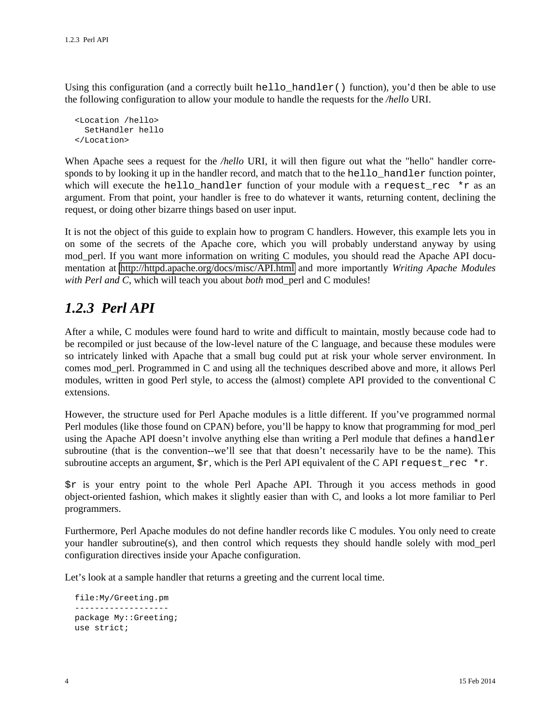Using this configuration (and a correctly built hello handler() function), you'd then be able to use the following configuration to allow your module to handle the requests for the */hello* URI.

```
 <Location /hello>
   SetHandler hello
 </Location>
```
When Apache sees a request for the */hello* URI, it will then figure out what the "hello" handler corresponds to by looking it up in the handler record, and match that to the hello\_handler function pointer, which will execute the hello\_handler function of your module with a request\_rec  $\star$ r as an argument. From that point, your handler is free to do whatever it wants, returning content, declining the request, or doing other bizarre things based on user input.

It is not the object of this guide to explain how to program C handlers. However, this example lets you in on some of the secrets of the Apache core, which you will probably understand anyway by using mod\_perl. If you want more information on writing C modules, you should read the Apache API documentation at <http://httpd.apache.org/docs/misc/API.html>and more importantly *Writing Apache Modules with Perl and C*, which will teach you about *both* mod\_perl and C modules!

#### <span id="page-3-0"></span>*1.2.3 Perl API*

After a while, C modules were found hard to write and difficult to maintain, mostly because code had to be recompiled or just because of the low-level nature of the C language, and because these modules were so intricately linked with Apache that a small bug could put at risk your whole server environment. In comes mod\_perl. Programmed in C and using all the techniques described above and more, it allows Perl modules, written in good Perl style, to access the (almost) complete API provided to the conventional C extensions.

However, the structure used for Perl Apache modules is a little different. If you've programmed normal Perl modules (like those found on CPAN) before, you'll be happy to know that programming for mod\_perl using the Apache API doesn't involve anything else than writing a Perl module that defines a handler subroutine (that is the convention--we'll see that that doesn't necessarily have to be the name). This subroutine accepts an argument,  $\zeta r$ , which is the Perl API equivalent of the C API request\_rec \*r.

\$r is your entry point to the whole Perl Apache API. Through it you access methods in good object-oriented fashion, which makes it slightly easier than with C, and looks a lot more familiar to Perl programmers.

Furthermore, Perl Apache modules do not define handler records like C modules. You only need to create your handler subroutine(s), and then control which requests they should handle solely with mod\_perl configuration directives inside your Apache configuration.

Let's look at a sample handler that returns a greeting and the current local time.

```
 file:My/Greeting.pm
 -------------------
 package My::Greeting;
 use strict;
```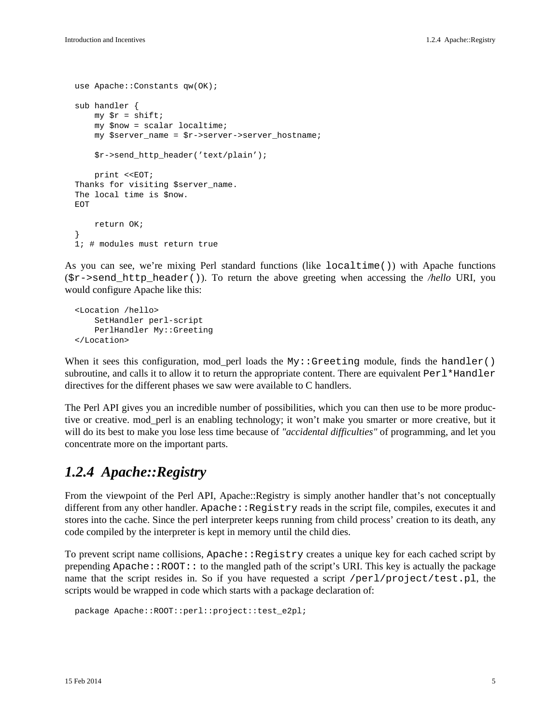```
use Apache:: Constants qw(OK);
 sub handler {
    my \zeta r = shift;
     my $now = scalar localtime;
     my $server_name = $r->server->server_hostname;
     $r->send_http_header('text/plain');
    print <<EOT;
 Thanks for visiting $server_name.
 The local time is $now.
 EOT
     return OK;
 }
 1; # modules must return true
```
As you can see, we're mixing Perl standard functions (like localtime()) with Apache functions  $(\text{Sr->send http header($ .). To return the above greeting when accessing the */hello* URI, you would configure Apache like this:

```
 <Location /hello>
    SetHandler perl-script
    PerlHandler My::Greeting
 </Location>
```
When it sees this configuration, mod\_perl loads the My::Greeting module, finds the handler() subroutine, and calls it to allow it to return the appropriate content. There are equivalent  $Perl*Handler$ directives for the different phases we saw were available to C handlers.

The Perl API gives you an incredible number of possibilities, which you can then use to be more productive or creative. mod\_perl is an enabling technology; it won't make you smarter or more creative, but it will do its best to make you lose less time because of *"accidental difficulties"* of programming, and let you concentrate more on the important parts.

#### <span id="page-4-0"></span>*1.2.4 Apache::Registry*

From the viewpoint of the Perl API, Apache::Registry is simply another handler that's not conceptually different from any other handler. Apache::Registry reads in the script file, compiles, executes it and stores into the cache. Since the perl interpreter keeps running from child process' creation to its death, any code compiled by the interpreter is kept in memory until the child dies.

To prevent script name collisions,  $A$ pache:: $R$ egistry creates a unique key for each cached script by prepending  $A$ pache::ROOT:: to the mangled path of the script's URI. This key is actually the package name that the script resides in. So if you have requested a script /perl/project/test.pl, the scripts would be wrapped in code which starts with a package declaration of:

```
 package Apache::ROOT::perl::project::test_e2pl;
```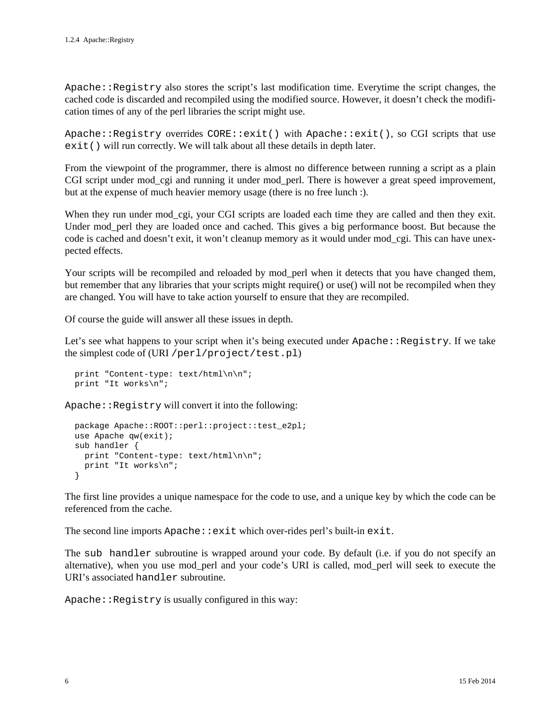Apache::Registry also stores the script's last modification time. Everytime the script changes, the cached code is discarded and recompiled using the modified source. However, it doesn't check the modification times of any of the perl libraries the script might use.

Apache::Registry overrides CORE::exit() with Apache::exit(), so CGI scripts that use exit() will run correctly. We will talk about all these details in depth later.

From the viewpoint of the programmer, there is almost no difference between running a script as a plain CGI script under mod\_cgi and running it under mod\_perl. There is however a great speed improvement, but at the expense of much heavier memory usage (there is no free lunch :).

When they run under mod\_cgi, your CGI scripts are loaded each time they are called and then they exit. Under mod\_perl they are loaded once and cached. This gives a big performance boost. But because the code is cached and doesn't exit, it won't cleanup memory as it would under mod\_cgi. This can have unexpected effects.

Your scripts will be recompiled and reloaded by mod perl when it detects that you have changed them, but remember that any libraries that your scripts might require() or use() will not be recompiled when they are changed. You will have to take action yourself to ensure that they are recompiled.

Of course the guide will answer all these issues in depth.

Let's see what happens to your script when it's being executed under  $\text{Apache}:Registry.$  If we take the simplest code of (URI /perl/project/test.pl)

```
 print "Content-type: text/html\n\n";
 print "It works\n";
```
Apache::Registry will convert it into the following:

```
 package Apache::ROOT::perl::project::test_e2pl;
 use Apache qw(exit);
 sub handler {
 print "Content-type: text/html\n\n";
   print "It works\n";
 }
```
The first line provides a unique namespace for the code to use, and a unique key by which the code can be referenced from the cache.

The second line imports  $A$ pache:  $:$ exit which over-rides perl's built-in exit.

The sub handler subroutine is wrapped around your code. By default (i.e. if you do not specify an alternative), when you use mod\_perl and your code's URI is called, mod\_perl will seek to execute the URI's associated handler subroutine.

Apache::Registry is usually configured in this way: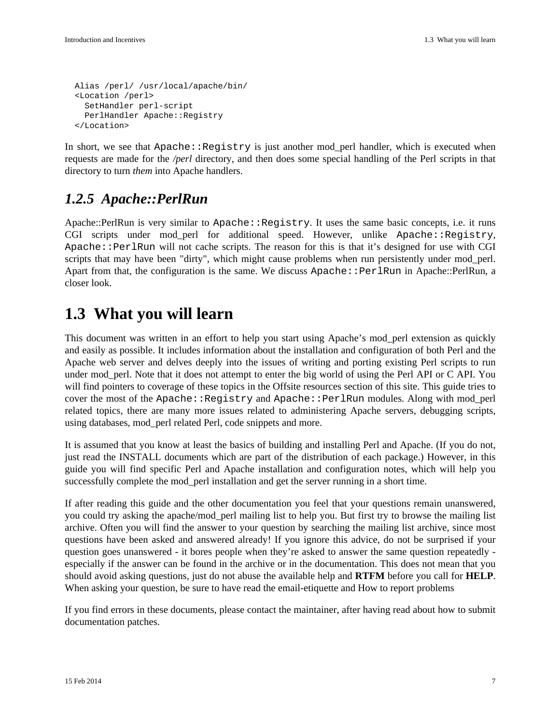```
 Alias /perl/ /usr/local/apache/bin/
 <Location /perl>
   SetHandler perl-script
  PerlHandler Apache:: Registry
 </Location>
```
In short, we see that  $A$ pache:: $\text{Registry}$  is just another mod perl handler, which is executed when requests are made for the */perl* directory, and then does some special handling of the Perl scripts in that directory to turn *them* into Apache handlers.

#### <span id="page-6-0"></span>*1.2.5 Apache::PerlRun*

Apache::PerlRun is very similar to Apache::Registry. It uses the same basic concepts, i.e. it runs CGI scripts under mod\_perl for additional speed. However, unlike Apache::Registry, Apache::PerlRun will not cache scripts. The reason for this is that it's designed for use with CGI scripts that may have been "dirty", which might cause problems when run persistently under mod\_perl. Apart from that, the configuration is the same. We discuss Apache::PerlRun in Apache::PerlRun, a closer look.

### <span id="page-6-1"></span>**1.3 What you will learn**

This document was written in an effort to help you start using Apache's mod\_perl extension as quickly and easily as possible. It includes information about the installation and configuration of both Perl and the Apache web server and delves deeply into the issues of writing and porting existing Perl scripts to run under mod\_perl. Note that it does not attempt to enter the big world of using the Perl API or C API. You will find pointers to coverage of these topics in the Offsite resources section of this site. This guide tries to cover the most of the Apache::Registry and Apache::PerlRun modules. Along with mod\_perl related topics, there are many more issues related to administering Apache servers, debugging scripts, using databases, mod\_perl related Perl, code snippets and more.

It is assumed that you know at least the basics of building and installing Perl and Apache. (If you do not, just read the INSTALL documents which are part of the distribution of each package.) However, in this guide you will find specific Perl and Apache installation and configuration notes, which will help you successfully complete the mod\_perl installation and get the server running in a short time.

If after reading this guide and the other documentation you feel that your questions remain unanswered, you could try asking the apache/mod\_perl mailing list to help you. But first try to browse the mailing list archive. Often you will find the answer to your question by searching the mailing list archive, since most questions have been asked and answered already! If you ignore this advice, do not be surprised if your question goes unanswered - it bores people when they're asked to answer the same question repeatedly especially if the answer can be found in the archive or in the documentation. This does not mean that you should avoid asking questions, just do not abuse the available help and **RTFM** before you call for **HELP**. When asking your question, be sure to have read the email-etiquette and How to report problems

If you find errors in these documents, please contact the maintainer, after having read about how to submit documentation patches.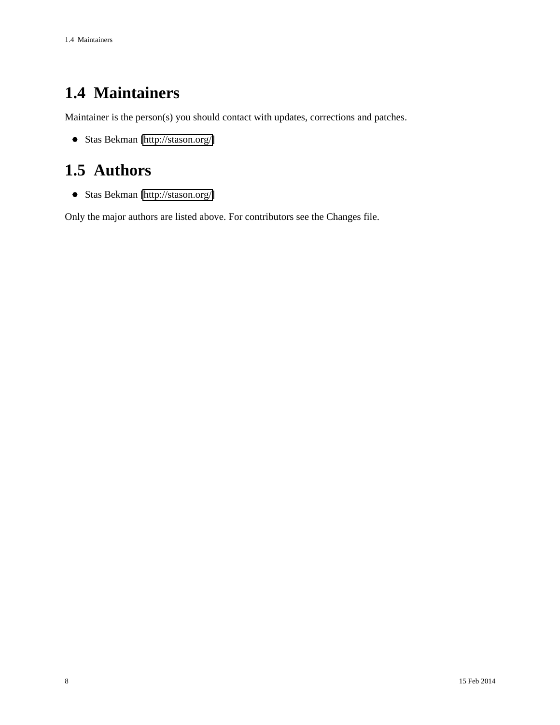## <span id="page-7-0"></span>**1.4 Maintainers**

Maintainer is the person(s) you should contact with updates, corrections and patches.

Stas Bekman [\[http://stason.org/\]](http://stason.org/)

## <span id="page-7-1"></span>**1.5 Authors**

Stas Bekman [\[http://stason.org/\]](http://stason.org/)

Only the major authors are listed above. For contributors see the Changes file.